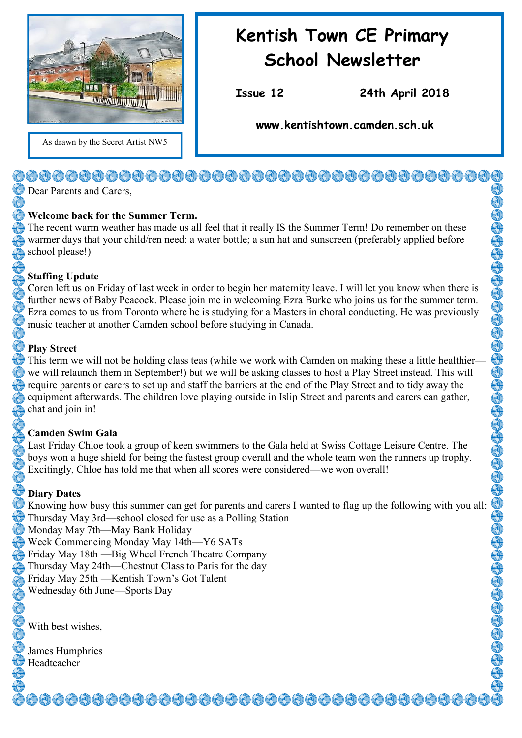

As drawn by the Secret Artist NW5

## **Kentish Town CE Primary School Newsletter**

**Issue 12 24th April 2018** 

**www.kentishtown.camden.sch.uk** 

## <del>\@@@@@@@@@@@@@@@@@@@@@@@@@@@@</del>@@@@@

Dear Parents and Carers,

#### **Welcome back for the Summer Term.**

The recent warm weather has made us all feel that it really IS the Summer Term! Do remember on these warmer days that your child/ren need: a water bottle; a sun hat and sunscreen (preferably applied before school please!)

#### **Staffing Update**

Coren left us on Friday of last week in order to begin her maternity leave. I will let you know when there is further news of Baby Peacock. Please join me in welcoming Ezra Burke who joins us for the summer term. Ezra comes to us from Toronto where he is studying for a Masters in choral conducting. He was previously music teacher at another Camden school before studying in Canada.

#### **Play Street**

This term we will not be holding class teas (while we work with Camden on making these a little healthier we will relaunch them in September!) but we will be asking classes to host a Play Street instead. This will require parents or carers to set up and staff the barriers at the end of the Play Street and to tidy away the equipment afterwards. The children love playing outside in Islip Street and parents and carers can gather, chat and join in!

## **Camden Swim Gala**

Last Friday Chloe took a group of keen swimmers to the Gala held at Swiss Cottage Leisure Centre. The boys won a huge shield for being the fastest group overall and the whole team won the runners up trophy. Excitingly, Chloe has told me that when all scores were considered—we won overall!

## **Diary Dates**

Knowing how busy this summer can get for parents and carers I wanted to flag up the following with you all: Thursday May 3rd—school closed for use as a Polling Station Monday May 7th—May Bank Holiday Week Commencing Monday May 14th—Y6 SATs Friday May 18th —Big Wheel French Theatre Company Thursday May 24th—Chestnut Class to Paris for the day Friday May 25th —Kentish Town's Got Talent Wednesday 6th June—Sports Day

With best wishes,

James Humphries Headteacher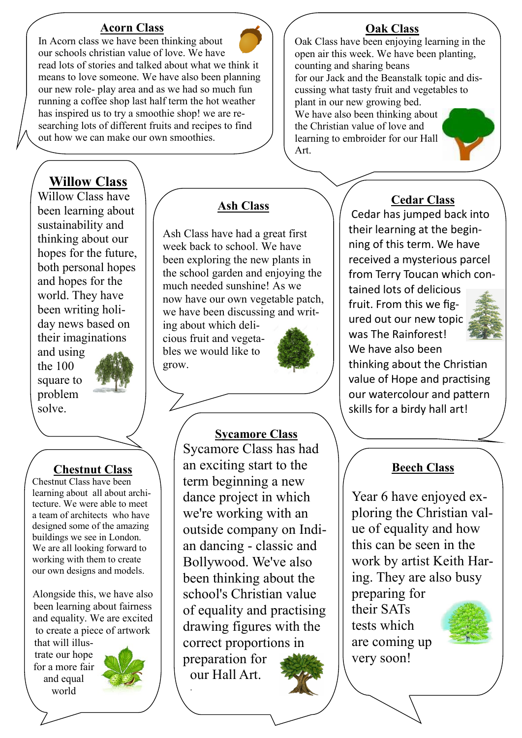#### **Acorn Class**



## **Willow Class**

Willow Class have been learning about sustainability and thinking about our hopes for the future, both personal hopes and hopes for the world. They have been writing holiday news based on their imaginations

and using the 100 square to problem solve.



## **Chestnut Class**

Chestnut Class have been learning about all about architecture. We were able to meet a team of architects who have designed some of the amazing buildings we see in London. We are all looking forward to working with them to create our own designs and models.

Alongside this, we have also been learning about fairness and equality. We are excited to create a piece of artwork that will illus-

trate our hope for a more fair and equal world



## **Ash Class**

Ash Class have had a great first week back to school. We have been exploring the new plants in the school garden and enjoying the much needed sunshine! As we now have our own vegetable patch, we have been discussing and writ-

ing about which delicious fruit and vegetables we would like to grow.



## **Sycamore Class**

Sycamore Class has had an exciting start to the term beginning a new dance project in which we're working with an outside company on Indian dancing - classic and Bollywood. We've also been thinking about the school's Christian value of equality and practising drawing figures with the correct proportions in preparation for our Hall Art. .

## **Oak Class**

Oak Class have been enjoying learning in the open air this week. We have been planting, counting and sharing beans for our Jack and the Beanstalk topic and discussing what tasty fruit and vegetables to plant in our new growing bed. We have also been thinking about

the Christian value of love and learning to embroider for our Hall Art.

## **Cedar Class**

Cedar has jumped back into their learning at the beginning of this term. We have received a mysterious parcel from Terry Toucan which con-

tained lots of delicious fruit. From this we figured out our new topic was The Rainforest! We have also been



thinking about the Christian value of Hope and practising our watercolour and pattern skills for a birdy hall art!

## **Beech Class**

Year 6 have enjoyed exploring the Christian value of equality and how this can be seen in the work by artist Keith Haring. They are also busy preparing for their SATs tests which are coming up very soon!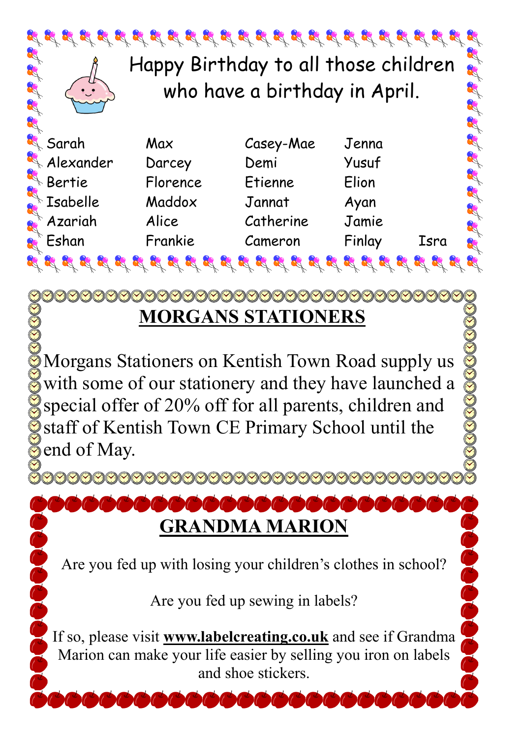

# **MORGANS STATIONERS**

Morgans Stationers on Kentish Town Road supply us with some of our stationery and they have launched a special offer of 20% off for all parents, children and staff of Kentish Town CE Primary School until the  $\delta$  end of May.

<u>agaaaaaaaaaaaa</u>

Color

**GRANDMA MARION**

Are you fed up with losing your children's clothes in school?

Are you fed up sewing in labels?

If so, please visit **www.labelcreating.co.uk** and see if Grandma Marion can make your life easier by selling you iron on labels and shoe stickers.